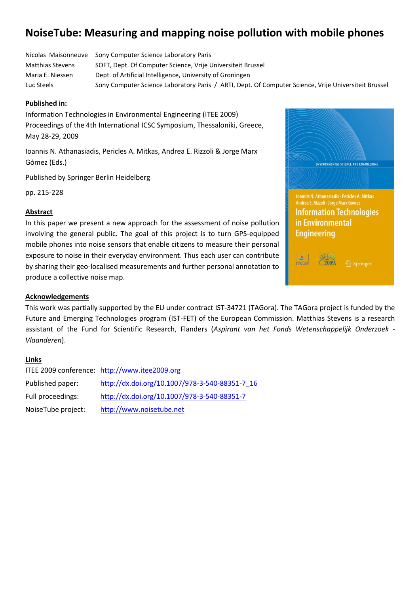# **NoiseTube: Measuring and mapping noise pollution with mobile phones**

Nicolas Maisonneuve Sony Computer Science Laboratory Paris Matthias Stevens SOFT, Dept. Of Computer Science, Vrije Universiteit Brussel Maria E. Niessen Dept. of Artificial Intelligence, University of Groningen Luc Steels Sony Computer Science Laboratory Paris / ARTI, Dept. Of Computer Science, Vrije Universiteit Brussel

### **Published in:**

Information Technologies in Environmental Engineering (ITEE 2009) Proceedings of the 4th International ICSC Symposium, Thessaloniki, Greece, May 28-29, 2009

Ioannis N. Athanasiadis, Pericles A. Mitkas, Andrea E. Rizzoli & Jorge Marx Gómez (Eds.)

Published by Springer Berlin Heidelberg

pp. 215-228

### **Abstract**

In this paper we present a new approach for the assessment of noise pollution involving the general public. The goal of this project is to turn GPS-equipped mobile phones into noise sensors that enable citizens to measure their personal exposure to noise in their everyday environment. Thus each user can contribute by sharing their geo-localised measurements and further personal annotation to produce a collective noise map.



#### **Acknowledgements**

This work was partially supported by the EU under contract IST-34721 (TAGora). The TAGora project is funded by the Future and Emerging Technologies program (IST-FET) of the European Commission. Matthias Stevens is a research assistant of the Fund for Scientific Research, Flanders (*Aspirant van het Fonds Wetenschappelijk Onderzoek - Vlaanderen*).

#### **Links**

|                    | ITEE 2009 conference: http://www.itee2009.org  |
|--------------------|------------------------------------------------|
| Published paper:   | http://dx.doi.org/10.1007/978-3-540-88351-7 16 |
| Full proceedings:  | http://dx.doi.org/10.1007/978-3-540-88351-7    |
| NoiseTube project: | http://www.noisetube.net                       |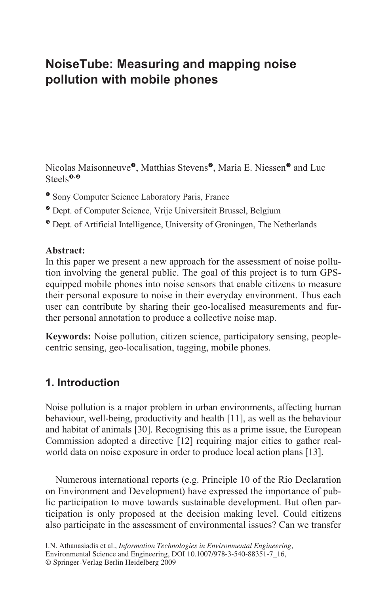# **NoiseTube: Measuring and mapping noise pollution with mobile phones**

Nicolas Maisonneuve<sup>o</sup>, Matthias Stevens<sup>o</sup>, Maria E. Niessen<sup>o</sup> and Luc  $Steels<sup>0,0</sup>$ 

- <sup>o</sup> Sony Computer Science Laboratory Paris, France
- <sup>o</sup> Dept. of Computer Science, Vrije Universiteit Brussel, Belgium
- <sup>•</sup> Dept. of Artificial Intelligence, University of Groningen, The Netherlands

#### **Abstract:**

In this paper we present a new approach for the assessment of noise pollution involving the general public. The goal of this project is to turn GPSequipped mobile phones into noise sensors that enable citizens to measure their personal exposure to noise in their everyday environment. Thus each user can contribute by sharing their geo-localised measurements and further personal annotation to produce a collective noise map.

**Keywords:** Noise pollution, citizen science, participatory sensing, peoplecentric sensing, geo-localisation, tagging, mobile phones.

# **1. Introduction**

Noise pollution is a major problem in urban environments, affecting human behaviour, well-being, productivity and health [11], as well as the behaviour and habitat of animals [30]. Recognising this as a prime issue, the European Commission adopted a directive [12] requiring major cities to gather realworld data on noise exposure in order to produce local action plans [13].

Numerous international reports (e.g. Principle 10 of the Rio Declaration on Environment and Development) have expressed the importance of public participation to move towards sustainable development. But often participation is only proposed at the decision making level. Could citizens also participate in the assessment of environmental issues? Can we transfer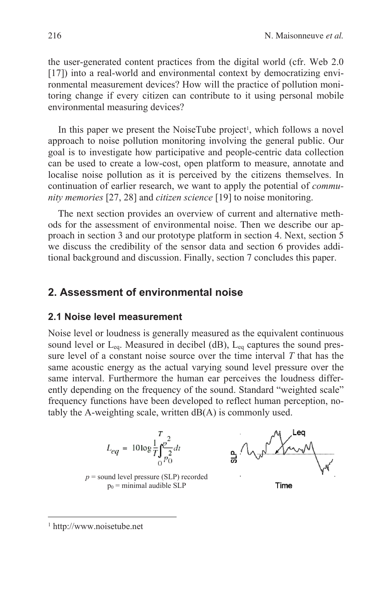the user-generated content practices from the digital world (cfr. Web 2.0 [17]) into a real-world and environmental context by democratizing environmental measurement devices? How will the practice of pollution monitoring change if every citizen can contribute to it using personal mobile environmental measuring devices?

In this paper we present the NoiseTube project<sup>1</sup>, which follows a novel approach to noise pollution monitoring involving the general public. Our goal is to investigate how participative and people-centric data collection can be used to create a low-cost, open platform to measure, annotate and localise noise pollution as it is perceived by the citizens themselves. In continuation of earlier research, we want to apply the potential of *community memories* [27, 28] and *citizen science* [19] to noise monitoring.

The next section provides an overview of current and alternative methods for the assessment of environmental noise. Then we describe our approach in section 3 and our prototype platform in section 4. Next, section 5 we discuss the credibility of the sensor data and section 6 provides additional background and discussion. Finally, section 7 concludes this paper.

#### **2. Assessment of environmental noise**

#### **2.1 Noise level measurement**

Noise level or loudness is generally measured as the equivalent continuous sound level or  $L_{eq}$ . Measured in decibel (dB),  $L_{eq}$  captures the sound pressure level of a constant noise source over the time interval *T* that has the same acoustic energy as the actual varying sound level pressure over the same interval. Furthermore the human ear perceives the loudness differently depending on the frequency of the sound. Standard "weighted scale" frequency functions have been developed to reflect human perception, notably the A-weighting scale, written dB(A) is commonly used.

$$
L_{eq} = 10 \log \frac{1}{T} \int_{0}^{T} \frac{e^{2}}{r^{2}} dr
$$

*p* = sound level pressure (SLP) recorded  $p_0$  = minimal audible SLP



Time

l

<sup>1</sup> http://www.noisetube.net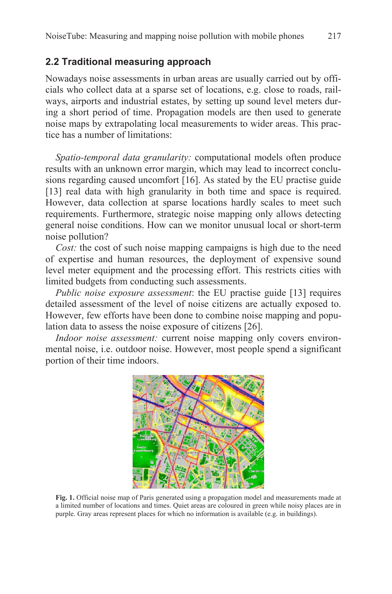#### **2.2 Traditional measuring approach**

Nowadays noise assessments in urban areas are usually carried out by officials who collect data at a sparse set of locations, e.g. close to roads, railways, airports and industrial estates, by setting up sound level meters during a short period of time. Propagation models are then used to generate noise maps by extrapolating local measurements to wider areas. This practice has a number of limitations:

*Spatio-temporal data granularity:* computational models often produce results with an unknown error margin, which may lead to incorrect conclusions regarding caused uncomfort [16]. As stated by the EU practise guide [13] real data with high granularity in both time and space is required. However, data collection at sparse locations hardly scales to meet such requirements. Furthermore, strategic noise mapping only allows detecting general noise conditions. How can we monitor unusual local or short-term noise pollution?

*Cost:* the cost of such noise mapping campaigns is high due to the need of expertise and human resources, the deployment of expensive sound level meter equipment and the processing effort. This restricts cities with limited budgets from conducting such assessments.

*Public noise exposure assessment*: the EU practise guide [13] requires detailed assessment of the level of noise citizens are actually exposed to. However, few efforts have been done to combine noise mapping and population data to assess the noise exposure of citizens [26].

*Indoor noise assessment:* current noise mapping only covers environmental noise, i.e. outdoor noise. However, most people spend a significant portion of their time indoors.



**Fig. 1.** Official noise map of Paris generated using a propagation model and measurements made at a limited number of locations and times. Quiet areas are coloured in green while noisy places are in purple. Gray areas represent places for which no information is available (e.g. in buildings).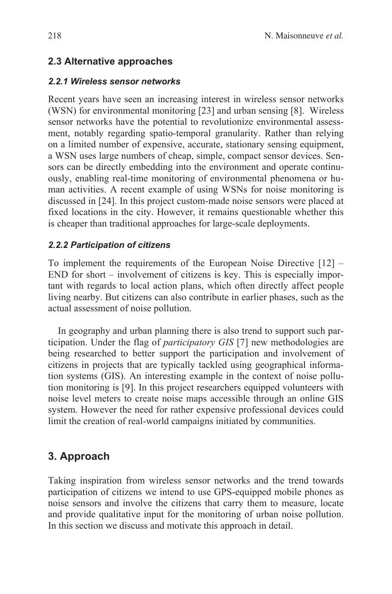# **2.3 Alternative approaches**

#### *2.2.1 Wireless sensor networks*

Recent years have seen an increasing interest in wireless sensor networks (WSN) for environmental monitoring [23] and urban sensing [8]. Wireless sensor networks have the potential to revolutionize environmental assessment, notably regarding spatio-temporal granularity. Rather than relying on a limited number of expensive, accurate, stationary sensing equipment, a WSN uses large numbers of cheap, simple, compact sensor devices. Sensors can be directly embedding into the environment and operate continuously, enabling real-time monitoring of environmental phenomena or human activities. A recent example of using WSNs for noise monitoring is discussed in [24]. In this project custom-made noise sensors were placed at fixed locations in the city. However, it remains questionable whether this is cheaper than traditional approaches for large-scale deployments.

#### *2.2.2 Participation of citizens*

To implement the requirements of the European Noise Directive [12] – END for short – involvement of citizens is key. This is especially important with regards to local action plans, which often directly affect people living nearby. But citizens can also contribute in earlier phases, such as the actual assessment of noise pollution.

In geography and urban planning there is also trend to support such participation. Under the flag of *participatory GIS* [7] new methodologies are being researched to better support the participation and involvement of citizens in projects that are typically tackled using geographical information systems (GIS). An interesting example in the context of noise pollution monitoring is [9]. In this project researchers equipped volunteers with noise level meters to create noise maps accessible through an online GIS system. However the need for rather expensive professional devices could limit the creation of real-world campaigns initiated by communities.

# **3. Approach**

Taking inspiration from wireless sensor networks and the trend towards participation of citizens we intend to use GPS-equipped mobile phones as noise sensors and involve the citizens that carry them to measure, locate and provide qualitative input for the monitoring of urban noise pollution. In this section we discuss and motivate this approach in detail.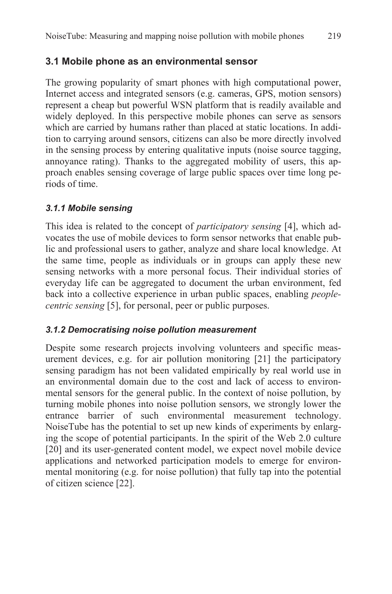# **3.1 Mobile phone as an environmental sensor**

The growing popularity of smart phones with high computational power, Internet access and integrated sensors (e.g. cameras, GPS, motion sensors) represent a cheap but powerful WSN platform that is readily available and widely deployed. In this perspective mobile phones can serve as sensors which are carried by humans rather than placed at static locations. In addition to carrying around sensors, citizens can also be more directly involved in the sensing process by entering qualitative inputs (noise source tagging, annoyance rating). Thanks to the aggregated mobility of users, this approach enables sensing coverage of large public spaces over time long periods of time.

### *3.1.1 Mobile sensing*

This idea is related to the concept of *participatory sensing* [4], which advocates the use of mobile devices to form sensor networks that enable public and professional users to gather, analyze and share local knowledge. At the same time, people as individuals or in groups can apply these new sensing networks with a more personal focus. Their individual stories of everyday life can be aggregated to document the urban environment, fed back into a collective experience in urban public spaces, enabling *peoplecentric sensing* [5], for personal, peer or public purposes.

#### *3.1.2 Democratising noise pollution measurement*

Despite some research projects involving volunteers and specific measurement devices, e.g. for air pollution monitoring [21] the participatory sensing paradigm has not been validated empirically by real world use in an environmental domain due to the cost and lack of access to environmental sensors for the general public. In the context of noise pollution, by turning mobile phones into noise pollution sensors, we strongly lower the entrance barrier of such environmental measurement technology. NoiseTube has the potential to set up new kinds of experiments by enlarging the scope of potential participants. In the spirit of the Web 2.0 culture [20] and its user-generated content model, we expect novel mobile device applications and networked participation models to emerge for environmental monitoring (e.g. for noise pollution) that fully tap into the potential of citizen science [22].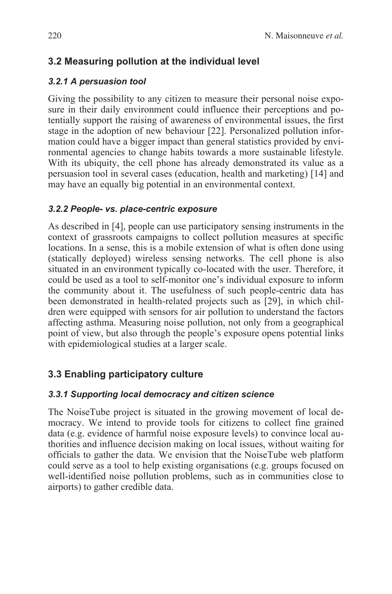# **3.2 Measuring pollution at the individual level**

# *3.2.1 A persuasion tool*

Giving the possibility to any citizen to measure their personal noise exposure in their daily environment could influence their perceptions and potentially support the raising of awareness of environmental issues, the first stage in the adoption of new behaviour [22]. Personalized pollution information could have a bigger impact than general statistics provided by environmental agencies to change habits towards a more sustainable lifestyle. With its ubiquity, the cell phone has already demonstrated its value as a persuasion tool in several cases (education, health and marketing) [14] and may have an equally big potential in an environmental context.

# *3.2.2 People- vs. place-centric exposure*

As described in [4], people can use participatory sensing instruments in the context of grassroots campaigns to collect pollution measures at specific locations. In a sense, this is a mobile extension of what is often done using (statically deployed) wireless sensing networks. The cell phone is also situated in an environment typically co-located with the user. Therefore, it could be used as a tool to self-monitor one's individual exposure to inform the community about it. The usefulness of such people-centric data has been demonstrated in health-related projects such as [29], in which children were equipped with sensors for air pollution to understand the factors affecting asthma. Measuring noise pollution, not only from a geographical point of view, but also through the people's exposure opens potential links with epidemiological studies at a larger scale.

# **3.3 Enabling participatory culture**

# *3.3.1 Supporting local democracy and citizen science*

The NoiseTube project is situated in the growing movement of local democracy. We intend to provide tools for citizens to collect fine grained data (e.g. evidence of harmful noise exposure levels) to convince local authorities and influence decision making on local issues, without waiting for officials to gather the data. We envision that the NoiseTube web platform could serve as a tool to help existing organisations (e.g. groups focused on well-identified noise pollution problems, such as in communities close to airports) to gather credible data.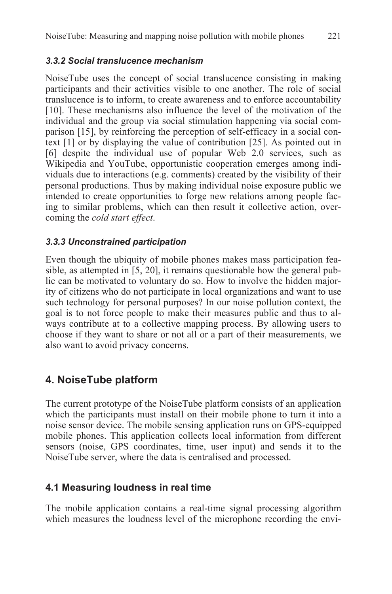#### *3.3.2 Social translucence mechanism*

NoiseTube uses the concept of social translucence consisting in making participants and their activities visible to one another. The role of social translucence is to inform, to create awareness and to enforce accountability [10]. These mechanisms also influence the level of the motivation of the individual and the group via social stimulation happening via social comparison [15], by reinforcing the perception of self-efficacy in a social context [1] or by displaying the value of contribution [25]. As pointed out in [6] despite the individual use of popular Web 2.0 services, such as Wikipedia and YouTube, opportunistic cooperation emerges among individuals due to interactions (e.g. comments) created by the visibility of their personal productions. Thus by making individual noise exposure public we intended to create opportunities to forge new relations among people facing to similar problems, which can then result it collective action, overcoming the *cold start effect*.

#### *3.3.3 Unconstrained participation*

Even though the ubiquity of mobile phones makes mass participation feasible, as attempted in [5, 20], it remains questionable how the general public can be motivated to voluntary do so. How to involve the hidden majority of citizens who do not participate in local organizations and want to use such technology for personal purposes? In our noise pollution context, the goal is to not force people to make their measures public and thus to always contribute at to a collective mapping process. By allowing users to choose if they want to share or not all or a part of their measurements, we also want to avoid privacy concerns.

# **4. NoiseTube platform**

The current prototype of the NoiseTube platform consists of an application which the participants must install on their mobile phone to turn it into a noise sensor device. The mobile sensing application runs on GPS-equipped mobile phones. This application collects local information from different sensors (noise, GPS coordinates, time, user input) and sends it to the NoiseTube server, where the data is centralised and processed.

#### **4.1 Measuring loudness in real time**

The mobile application contains a real-time signal processing algorithm which measures the loudness level of the microphone recording the envi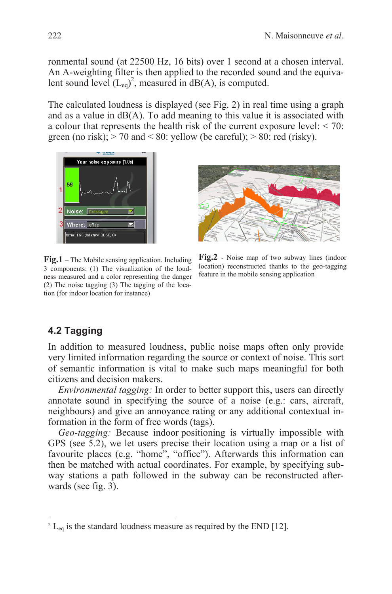ronmental sound (at 22500 Hz, 16 bits) over 1 second at a chosen interval. An A-weighting filter is then applied to the recorded sound and the equivalent sound level  $(L_{eq})^2$ , measured in dB(A), is computed.

The calculated loudness is displayed (see Fig. 2) in real time using a graph and as a value in  $dB(A)$ . To add meaning to this value it is associated with a colour that represents the health risk of the current exposure level:  $\leq 70$ : green (no risk);  $> 70$  and  $< 80$ : yellow (be careful);  $> 80$ : red (risky).



**Fig.1** – The Mobile sensing application. Including 3 components: (1) The visualization of the loudness measured and a color representing the danger (2) The noise tagging (3) The tagging of the location (for indoor location for instance)



**Fig.2** - Noise map of two subway lines (indoor location) reconstructed thanks to the geo-tagging feature in the mobile sensing application

#### **4.2 Tagging**

l

In addition to measured loudness, public noise maps often only provide very limited information regarding the source or context of noise. This sort of semantic information is vital to make such maps meaningful for both citizens and decision makers.

*Environmental tagging:* In order to better support this, users can directly annotate sound in specifying the source of a noise (e.g.: cars, aircraft, neighbours) and give an annoyance rating or any additional contextual information in the form of free words (tags).

*Geo-tagging:* Because indoor positioning is virtually impossible with GPS (see 5.2), we let users precise their location using a map or a list of favourite places (e.g. "home", "office"). Afterwards this information can then be matched with actual coordinates. For example, by specifying subway stations a path followed in the subway can be reconstructed afterwards (see fig. 3).

<sup>&</sup>lt;sup>2</sup> L<sub>eq</sub> is the standard loudness measure as required by the END [12].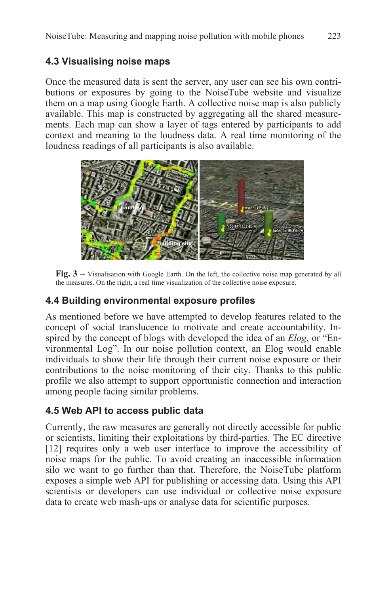# **4.3 Visualising noise maps**

Once the measured data is sent the server, any user can see his own contributions or exposures by going to the NoiseTube website and visualize them on a map using Google Earth. A collective noise map is also publicly available. This map is constructed by aggregating all the shared measurements. Each map can show a layer of tags entered by participants to add context and meaning to the loudness data. A real time monitoring of the loudness readings of all participants is also available.



Fig. 3 – Visualisation with Google Earth. On the left, the collective noise map generated by all the measures. On the right, a real time visualization of the collective noise exposure.

# **4.4 Building environmental exposure profiles**

As mentioned before we have attempted to develop features related to the concept of social translucence to motivate and create accountability. Inspired by the concept of blogs with developed the idea of an *Elog*, or "Environmental Log". In our noise pollution context, an Elog would enable individuals to show their life through their current noise exposure or their contributions to the noise monitoring of their city. Thanks to this public profile we also attempt to support opportunistic connection and interaction among people facing similar problems.

# **4.5 Web API to access public data**

Currently, the raw measures are generally not directly accessible for public or scientists, limiting their exploitations by third-parties. The EC directive [12] requires only a web user interface to improve the accessibility of noise maps for the public. To avoid creating an inaccessible information silo we want to go further than that. Therefore, the NoiseTube platform exposes a simple web API for publishing or accessing data. Using this API scientists or developers can use individual or collective noise exposure data to create web mash-ups or analyse data for scientific purposes.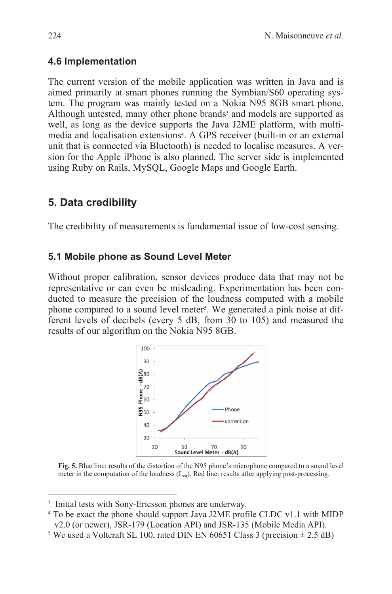# **4.6 Implementation**

The current version of the mobile application was written in Java and is aimed primarily at smart phones running the Symbian/S60 operating system. The program was mainly tested on a Nokia N95 8GB smart phone. Although untested, many other phone brands<sup>3</sup> and models are supported as well, as long as the device supports the Java J2ME platform, with multimedia and localisation extensions4. A GPS receiver (built-in or an external unit that is connected via Bluetooth) is needed to localise measures. A version for the Apple iPhone is also planned. The server side is implemented using Ruby on Rails, MySQL, Google Maps and Google Earth.

# **5. Data credibility**

The credibility of measurements is fundamental issue of low-cost sensing.

# **5.1 Mobile phone as Sound Level Meter**

Without proper calibration, sensor devices produce data that may not be representative or can even be misleading. Experimentation has been conducted to measure the precision of the loudness computed with a mobile phone compared to a sound level meter<sup>5</sup>. We generated a pink noise at different levels of decibels (every 5 dB, from 30 to 105) and measured the results of our algorithm on the Nokia N95 8GB.



**Fig. 5.** Blue line: results of the distortion of the N95 phone's microphone compared to a sound level meter in the computation of the loudness  $(L_{eq})$ . Red line: results after applying post-processing.

l

<sup>&</sup>lt;sup>3</sup> Initial tests with Sony-Ericsson phones are underway.

<sup>4</sup> To be exact the phone should support Java J2ME profile CLDC v1.1 with MIDP v2.0 (or newer), JSR-179 (Location API) and JSR-135 (Mobile Media API).

<sup>&</sup>lt;sup>5</sup> We used a Voltcraft SL 100, rated DIN EN 60651 Class 3 (precision  $\pm$  2.5 dB)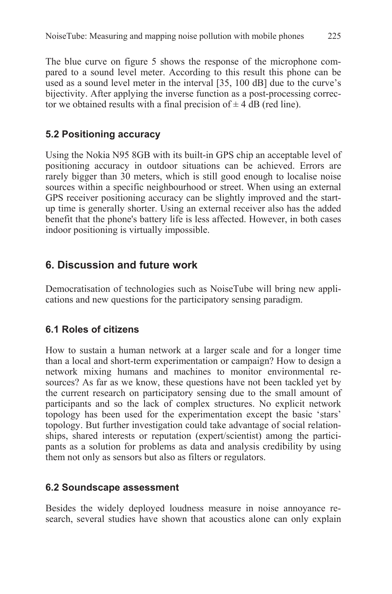The blue curve on figure 5 shows the response of the microphone compared to a sound level meter. According to this result this phone can be used as a sound level meter in the interval [35, 100 dB] due to the curve's bijectivity. After applying the inverse function as a post-processing corrector we obtained results with a final precision of  $\pm$  4 dB (red line).

# **5.2 Positioning accuracy**

Using the Nokia N95 8GB with its built-in GPS chip an acceptable level of positioning accuracy in outdoor situations can be achieved. Errors are rarely bigger than 30 meters, which is still good enough to localise noise sources within a specific neighbourhood or street. When using an external GPS receiver positioning accuracy can be slightly improved and the startup time is generally shorter. Using an external receiver also has the added benefit that the phone's battery life is less affected. However, in both cases indoor positioning is virtually impossible.

# **6. Discussion and future work**

Democratisation of technologies such as NoiseTube will bring new applications and new questions for the participatory sensing paradigm.

# **6.1 Roles of citizens**

How to sustain a human network at a larger scale and for a longer time than a local and short-term experimentation or campaign? How to design a network mixing humans and machines to monitor environmental resources? As far as we know, these questions have not been tackled yet by the current research on participatory sensing due to the small amount of participants and so the lack of complex structures. No explicit network topology has been used for the experimentation except the basic 'stars' topology. But further investigation could take advantage of social relationships, shared interests or reputation (expert/scientist) among the participants as a solution for problems as data and analysis credibility by using them not only as sensors but also as filters or regulators.

# **6.2 Soundscape assessment**

Besides the widely deployed loudness measure in noise annoyance research, several studies have shown that acoustics alone can only explain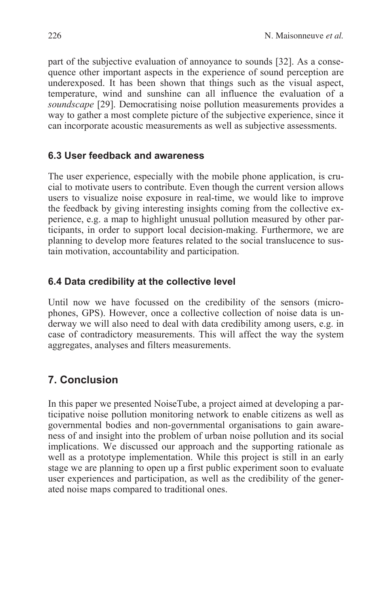part of the subjective evaluation of annoyance to sounds [32]. As a consequence other important aspects in the experience of sound perception are underexposed. It has been shown that things such as the visual aspect, temperature, wind and sunshine can all influence the evaluation of a *soundscape* [29]. Democratising noise pollution measurements provides a way to gather a most complete picture of the subjective experience, since it can incorporate acoustic measurements as well as subjective assessments.

### **6.3 User feedback and awareness**

The user experience, especially with the mobile phone application, is crucial to motivate users to contribute. Even though the current version allows users to visualize noise exposure in real-time, we would like to improve the feedback by giving interesting insights coming from the collective experience, e.g. a map to highlight unusual pollution measured by other participants, in order to support local decision-making. Furthermore, we are planning to develop more features related to the social translucence to sustain motivation, accountability and participation.

# **6.4 Data credibility at the collective level**

Until now we have focussed on the credibility of the sensors (microphones, GPS). However, once a collective collection of noise data is underway we will also need to deal with data credibility among users, e.g. in case of contradictory measurements. This will affect the way the system aggregates, analyses and filters measurements.

# **7. Conclusion**

In this paper we presented NoiseTube, a project aimed at developing a participative noise pollution monitoring network to enable citizens as well as governmental bodies and non-governmental organisations to gain awareness of and insight into the problem of urban noise pollution and its social implications. We discussed our approach and the supporting rationale as well as a prototype implementation. While this project is still in an early stage we are planning to open up a first public experiment soon to evaluate user experiences and participation, as well as the credibility of the generated noise maps compared to traditional ones.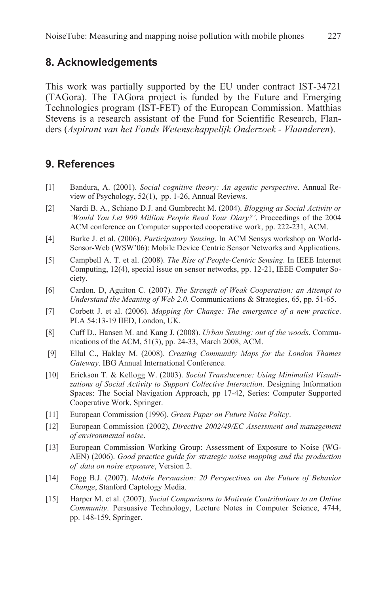# **8. Acknowledgements**

This work was partially supported by the EU under contract IST-34721 (TAGora). The TAGora project is funded by the Future and Emerging Technologies program (IST-FET) of the European Commission. Matthias Stevens is a research assistant of the Fund for Scientific Research, Flanders (*Aspirant van het Fonds Wetenschappelijk Onderzoek - Vlaanderen*).

# **9. References**

- [1] Bandura, A. (2001). *Social cognitive theory: An agentic perspective*. Annual Review of Psychology, 52(1), pp. 1-26, Annual Reviews.
- [2] Nardi B. A., Schiano D.J. and Gumbrecht M. (2004). *Blogging as Social Activity or 'Would You Let 900 Million People Read Your Diary?'*. Proceedings of the 2004 ACM conference on Computer supported cooperative work, pp. 222-231, ACM.
- [4] Burke J. et al. (2006). *Participatory Sensing*. In ACM Sensys workshop on World-Sensor-Web (WSW'06): Mobile Device Centric Sensor Networks and Applications.
- [5] Campbell A. T. et al. (2008). *The Rise of People-Centric Sensing*. In IEEE Internet Computing, 12(4), special issue on sensor networks, pp. 12-21, IEEE Computer Society.
- [6] Cardon. D, Aguiton C. (2007). *The Strength of Weak Cooperation: an Attempt to Understand the Meaning of Web 2.0*. Communications & Strategies, 65, pp. 51-65.
- [7] Corbett J. et al. (2006). *Mapping for Change: The emergence of a new practice*. PLA 54:13-19 IIED, London, UK.
- [8] Cuff D., Hansen M. and Kang J. (2008). *Urban Sensing: out of the woods*. Communications of the ACM, 51(3), pp. 24-33, March 2008, ACM.
- [9] Ellul C., Haklay M. (2008). *Creating Community Maps for the London Thames Gateway*. IBG Annual International Conference.
- [10] Erickson T. & Kellogg W. (2003). *Social Translucence: Using Minimalist Visualizations of Social Activity to Support Collective Interaction*. Designing Information Spaces: The Social Navigation Approach, pp 17-42, Series: Computer Supported Cooperative Work, Springer.
- [11] European Commission (1996). *Green Paper on Future Noise Policy*.
- [12] European Commission (2002), *Directive 2002/49/EC Assessment and management of environmental noise*.
- [13] European Commission Working Group: Assessment of Exposure to Noise (WG-AEN) (2006). *Good practice guide for strategic noise mapping and the production of data on noise exposure*, Version 2.
- [14] Fogg B.J. (2007). *Mobile Persuasion: 20 Perspectives on the Future of Behavior Change*, Stanford Captology Media.
- [15] Harper M. et al. (2007). *Social Comparisons to Motivate Contributions to an Online Community*. Persuasive Technology, Lecture Notes in Computer Science, 4744, pp. 148-159, Springer.